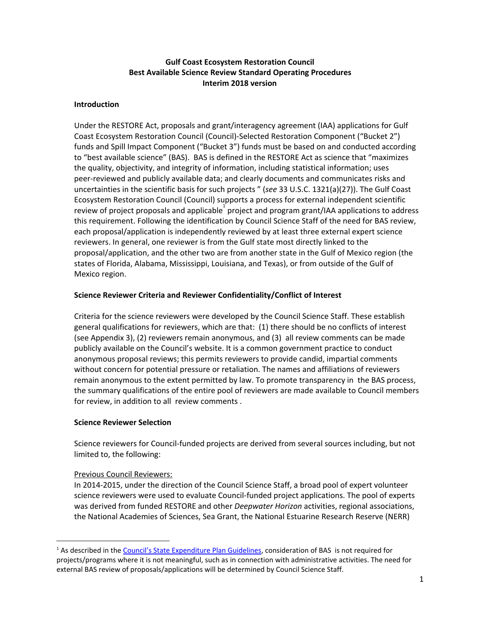## **Gulf Coast Ecosystem Restoration Council Best Available Science Review Standard Operating Procedures Interim 2018 version**

## **Introduction**

Under the RESTORE Act, proposals and grant/interagency agreement (IAA) applications for Gulf Coast Ecosystem Restoration Council (Council)-Selected Restoration Component ("Bucket 2") funds and Spill Impact Component ("Bucket 3") funds must be based on and conducted according to "best available science" (BAS). BAS is defined in the RESTORE Act as science that "maximizes the quality, objectivity, and integrity of information, including statistical information; uses peer-reviewed and publicly available data; and clearly documents and communicates risks and uncertainties in the scientific basis for such projects " (*see* 33 U.S.C. 1321(a)(27)). The Gulf Coast Ecosystem Restoration Council (Council) supports a process for external independent scientific review of project proposals and applicable project and program grant/IAA applications to address this requirement. Following the identification by Council Science Staff of the need for BAS review, each proposal/application is independently reviewed by at least three external expert science reviewers. In general, one reviewer is from the Gulf state most directly linked to the proposal/application, and the other two are from another state in the Gulf of Mexico region (the states of Florida, Alabama, Mississippi, Louisiana, and Texas), or from outside of the Gulf of Mexico region.

## **Science Reviewer Criteria and Reviewer Confidentiality/Conflict of Interest**

Criteria for the science reviewers were developed by the Council Science Staff. These establish general qualifications for reviewers, which are that: (1) there should be no conflicts of interest (see Appendix 3), (2) reviewers remain anonymous, and (3) all review comments can be made publicly available on the Council's website. It is a common government practice to conduct anonymous proposal reviews; this permits reviewers to provide candid, impartial comments without concern for potential pressure or retaliation. The names and affiliations of reviewers remain anonymous to the extent permitted by law. To promote transparency in the BAS process, the summary qualifications of the entire pool of reviewers are made available to Council members for review, in addition to all review comments .

## **Science Reviewer Selection**

Science reviewers for Council-funded projects are derived from several sources including, but not limited to, the following:

# Previous Council Reviewers:

In 2014-2015, under the direction of the Council Science Staff, a broad pool of expert volunteer science reviewers were used to evaluate Council-funded project applications. The pool of experts was derived from funded RESTORE and other *Deepwater Horizon* activities, regional associations, the National Academies of Sciences, Sea Grant, the National Estuarine Research Reserve (NERR)

<sup>&</sup>lt;sup>1</sup> As described in the [Council's State Expenditure Plan Guidelines,](https://restorethegulf.gov/sites/default/files/SEP-Guidelines__Approved-20160317.pdf) consideration of BAS is not required for projects/programs where it is not meaningful, such as in connection with administrative activities. The need for external BAS review of proposals/applications will be determined by Council Science Staff.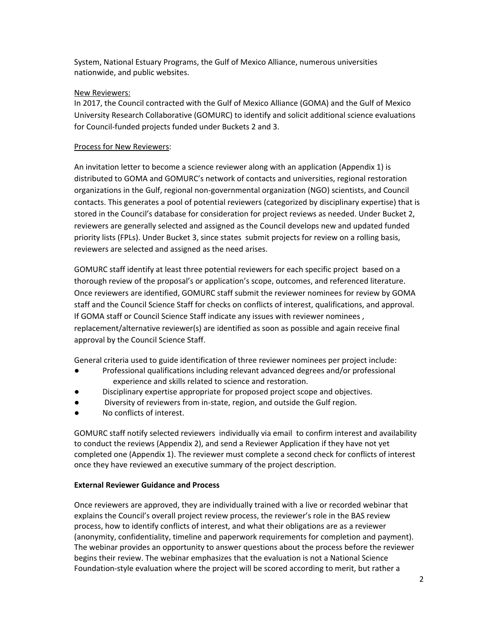System, National Estuary Programs, the Gulf of Mexico Alliance, numerous universities nationwide, and public websites.

## New Reviewers:

In 2017, the Council contracted with the Gulf of Mexico Alliance (GOMA) and the Gulf of Mexico University Research Collaborative (GOMURC) to identify and solicit additional science evaluations for Council-funded projects funded under Buckets 2 and 3.

## Process for New Reviewers:

An invitation letter to become a science reviewer along with an application (Appendix 1) is distributed to GOMA and GOMURC's network of contacts and universities, regional restoration organizations in the Gulf, regional non-governmental organization (NGO) scientists, and Council contacts. This generates a pool of potential reviewers (categorized by disciplinary expertise) that is stored in the Council's database for consideration for project reviews as needed. Under Bucket 2, reviewers are generally selected and assigned as the Council develops new and updated funded priority lists (FPLs). Under Bucket 3, since states submit projects for review on a rolling basis, reviewers are selected and assigned as the need arises.

GOMURC staff identify at least three potential reviewers for each specific project based on a thorough review of the proposal's or application's scope, outcomes, and referenced literature. Once reviewers are identified, GOMURC staff submit the reviewer nominees for review by GOMA staff and the Council Science Staff for checks on conflicts of interest, qualifications, and approval. If GOMA staff or Council Science Staff indicate any issues with reviewer nominees , replacement/alternative reviewer(s) are identified as soon as possible and again receive final approval by the Council Science Staff.

General criteria used to guide identification of three reviewer nominees per project include:

- Professional qualifications including relevant advanced degrees and/or professional experience and skills related to science and restoration.
- Disciplinary expertise appropriate for proposed project scope and objectives.
- Diversity of reviewers from in-state, region, and outside the Gulf region.
- No conflicts of interest.

GOMURC staff notify selected reviewers individually via email to confirm interest and availability to conduct the reviews (Appendix 2), and send a Reviewer Application if they have not yet completed one (Appendix 1). The reviewer must complete a second check for conflicts of interest once they have reviewed an executive summary of the project description.

## **External Reviewer Guidance and Process**

Once reviewers are approved, they are individually trained with a live or recorded webinar that explains the Council's overall project review process, the reviewer's role in the BAS review process, how to identify conflicts of interest, and what their obligations are as a reviewer (anonymity, confidentiality, timeline and paperwork requirements for completion and payment). The webinar provides an opportunity to answer questions about the process before the reviewer begins their review. The webinar emphasizes that the evaluation is not a National Science Foundation-style evaluation where the project will be scored according to merit, but rather a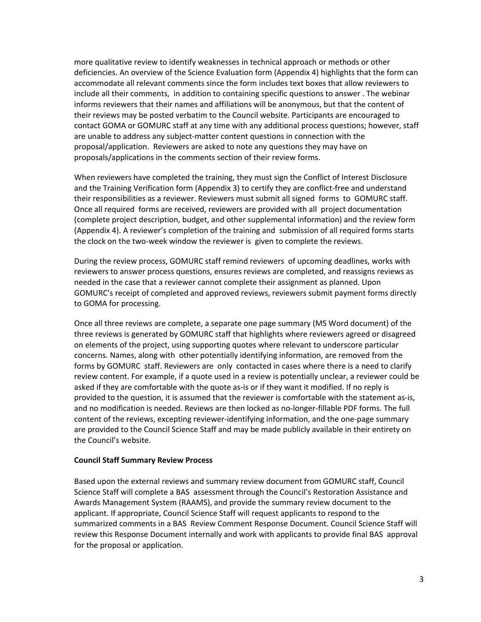more qualitative review to identify weaknesses in technical approach or methods or other deficiencies. An overview of the Science Evaluation form (Appendix 4) highlights that the form can accommodate all relevant comments since the form includes text boxes that allow reviewers to include all their comments, in addition to containing specific questions to answer . The webinar informs reviewers that their names and affiliations will be anonymous, but that the content of their reviews may be posted verbatim to the Council website. Participants are encouraged to contact GOMA or GOMURC staff at any time with any additional process questions; however, staff are unable to address any subject-matter content questions in connection with the proposal/application. Reviewers are asked to note any questions they may have on proposals/applications in the comments section of their review forms.

When reviewers have completed the training, they must sign the Conflict of Interest Disclosure and the Training Verification form (Appendix 3) to certify they are conflict-free and understand their responsibilities as a reviewer. Reviewers must submit all signed forms to GOMURC staff. Once all required forms are received, reviewers are provided with all project documentation (complete project description, budget, and other supplemental information) and the review form (Appendix 4). A reviewer's completion of the training and submission of all required forms starts the clock on the two-week window the reviewer is given to complete the reviews.

During the review process, GOMURC staff remind reviewers of upcoming deadlines, works with reviewers to answer process questions, ensures reviews are completed, and reassigns reviews as needed in the case that a reviewer cannot complete their assignment as planned. Upon GOMURC's receipt of completed and approved reviews, reviewers submit payment forms directly to GOMA for processing.

Once all three reviews are complete, a separate one page summary (MS Word document) of the three reviews is generated by GOMURC staff that highlights where reviewers agreed or disagreed on elements of the project, using supporting quotes where relevant to underscore particular concerns. Names, along with other potentially identifying information, are removed from the forms by GOMURC staff. Reviewers are only contacted in cases where there is a need to clarify review content. For example, if a quote used in a review is potentially unclear, a reviewer could be asked if they are comfortable with the quote as-is or if they want it modified. If no reply is provided to the question, it is assumed that the reviewer is comfortable with the statement as-is, and no modification is needed. Reviews are then locked as no-longer-fillable PDF forms. The full content of the reviews, excepting reviewer-identifying information, and the one-page summary are provided to the Council Science Staff and may be made publicly available in their entirety on the Council's website.

#### **Council Staff Summary Review Process**

Based upon the external reviews and summary review document from GOMURC staff, Council Science Staff will complete a BAS assessment through the Council's Restoration Assistance and Awards Management System (RAAMS), and provide the summary review document to the applicant. If appropriate, Council Science Staff will request applicants to respond to the summarized comments in a BAS Review Comment Response Document. Council Science Staff will review this Response Document internally and work with applicants to provide final BAS approval for the proposal or application.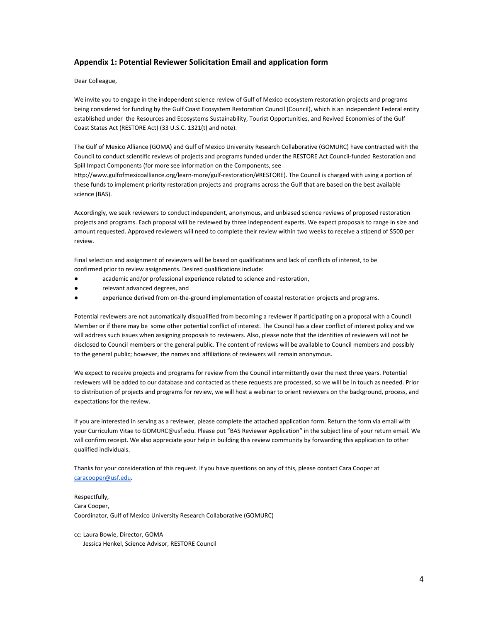#### **Appendix 1: Potential Reviewer Solicitation Email and application form**

Dear Colleague,

We invite you to engage in the independent science review of Gulf of Mexico ecosystem restoration projects and programs being considered for funding by the Gulf Coast Ecosystem Restoration Council (Council), which is an independent Federal entity established under the Resources and Ecosystems Sustainability, Tourist Opportunities, and Revived Economies of the Gulf Coast States Act (RESTORE Act) (33 U.S.C. 1321(t) and note).

The Gulf of Mexico Alliance (GOMA) and Gulf of Mexico University Research Collaborative (GOMURC) have contracted with the Council to conduct scientific reviews of projects and programs funded under the RESTORE Act Council-funded Restoration and Spill Impact Components (for more see information on the Components, see

http://www.gulfofmexicoalliance.org/learn-more/gulf-restoration/#RESTORE). The Council is charged with using a portion of these funds to implement priority restoration projects and programs across the Gulf that are based on the best available science (BAS).

Accordingly, we seek reviewers to conduct independent, anonymous, and unbiased science reviews of proposed restoration projects and programs. Each proposal will be reviewed by three independent experts. We expect proposals to range in size and amount requested. Approved reviewers will need to complete their review within two weeks to receive a stipend of \$500 per review.

Final selection and assignment of reviewers will be based on qualifications and lack of conflicts of interest, to be confirmed prior to review assignments. Desired qualifications include:

- academic and/or professional experience related to science and restoration,
- relevant advanced degrees, and
- experience derived from on-the-ground implementation of coastal restoration projects and programs.

Potential reviewers are not automatically disqualified from becoming a reviewer if participating on a proposal with a Council Member or if there may be some other potential conflict of interest. The Council has a clear conflict of interest policy and we will address such issues when assigning proposals to reviewers. Also, please note that the identities of reviewers will not be disclosed to Council members or the general public. The content of reviews will be available to Council members and possibly to the general public; however, the names and affiliations of reviewers will remain anonymous.

We expect to receive projects and programs for review from the Council intermittently over the next three years. Potential reviewers will be added to our database and contacted as these requests are processed, so we will be in touch as needed. Prior to distribution of projects and programs for review, we will host a webinar to orient reviewers on the background, process, and expectations for the review.

If you are interested in serving as a reviewer, please complete the attached application form. Return the form via email with your Curriculum Vitae to GOMURC@usf.edu. Please put "BAS Reviewer Application" in the subject line of your return email. We will confirm receipt. We also appreciate your help in building this review community by forwarding this application to other qualified individuals.

Thanks for your consideration of this request. If you have questions on any of this, please contact Cara Cooper at [caracooper@usf.edu](mailto:caracooper@usf.edu).

Respectfully, Cara Cooper, Coordinator, Gulf of Mexico University Research Collaborative (GOMURC)

cc: Laura Bowie, Director, GOMA Jessica Henkel, Science Advisor, RESTORE Council